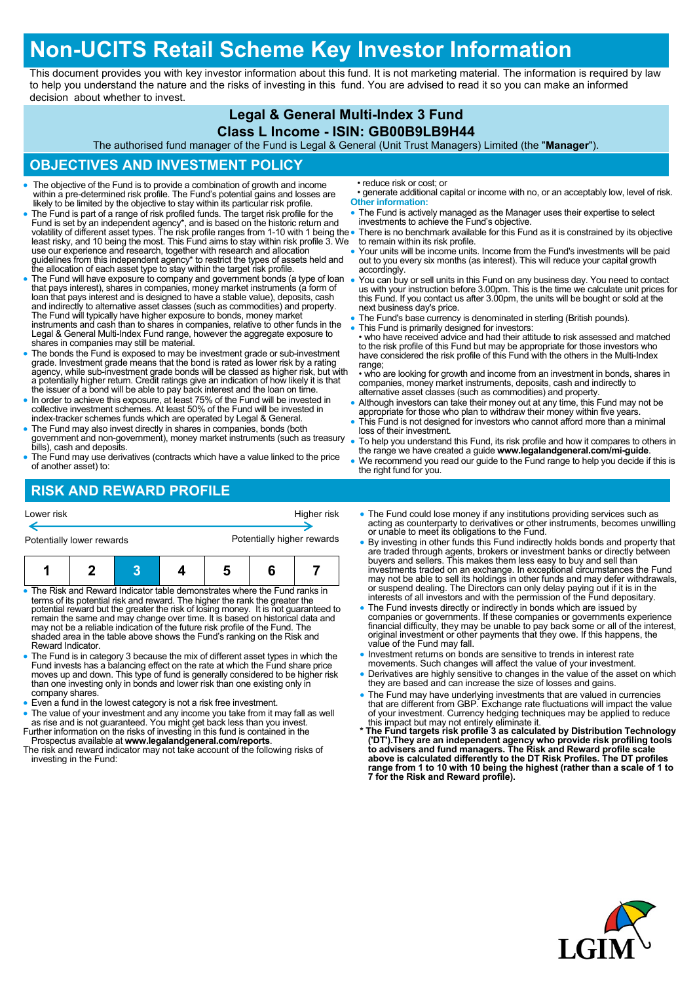# **Non-UCITS Retail Scheme Key Investor Information**

This document provides you with key investor information about this fund. It is not marketing material. The information is required by law to help you understand the nature and the risks of investing in this fund. You are advised to read it so you can make an informed decision about whether to invest.

## **Legal & General Multi-Index 3 Fund**

#### **Class L Income - ISIN: GB00B9LB9H44**

The authorised fund manager of the Fund is Legal & General (Unit Trust Managers) Limited (the "**Manager**").

## **OBJECTIVES AND INVESTMENT POLICY**

- The objective of the Fund is to provide a combination of growth and income within a pre-determined risk profile. The Fund's potential gains and losses are likely to be limited by the objective to stay within its particular risk profile.
- The Fund is part of a range of risk profiled funds. The target risk profile for the Fund is set by an independent agency\*, and is based on the historic return and<br>volatility of different asset types. The risk profile ranges from 1-10 with 1 being the<br>least risky, and 10 being the most. This Fund aims to s use our experience and research, together with research and allocation guidelines from this independent agency\* to restrict the types of assets held and the allocation of each asset type to stay within the target risk profile.
- The Fund will have exposure to company and government bonds (a type of loan that pays interest), shares in companies, money market instruments (a form of loan that pays interest and is designed to have a stable value), deposits, cash and indirectly to alternative asset classes (such as commodities) and property.<br>The Fund will typically have higher exposure to bonds, money market<br>instruments and cash than to shares in companies, relative to other funds Legal & General Multi-Index Fund range, however the aggregate exposure to shares in companies may still be material.
- The bonds the Fund is exposed to may be investment grade or sub-investment grade. Investment grade means that the bond is rated as lower risk by a rating agency, while sub-investment grade bonds will be classed as higher risk, but with a potentially higher return. Credit ratings give an indication of how likely it is that the issuer of a bond will be able to pay back interest and the loan on time.
- In order to achieve this exposure, at least 75% of the Fund will be invested in collective investment schemes. At least 50% of the Fund will be invested in index-tracker schemes funds which are operated by Legal & General.
- The Fund may also invest directly in shares in companies, bonds (both government and non-government), money market instruments (such as treasury bills), cash and deposits.
- The Fund may use derivatives (contracts which have a value linked to the price of another asset) to:

• reduce risk or cost; or

- generate additional capital or income with no, or an acceptably low, level of risk. **Other information:**
- The Fund is actively managed as the Manager uses their expertise to select investments to achieve the Fund's objective.
- There is no benchmark available for this Fund as it is constrained by its objective to remain within its risk profile.
- Your units will be income units. Income from the Fund's investments will be paid out to you every six months (as interest). This will reduce your capital growth accordingly.
- You can buy or sell units in this Fund on any business day. You need to contact us with your instruction before 3.00pm. This is the time we calculate unit prices for this Fund. If you contact us after 3.00pm, the units will be bought or sold at the next business day's price.
- The Fund's base currency is denominated in sterling (British pounds).
- This Fund is primarily designed for investors: • who have received advice and had their attitude to risk assessed and matched to the risk profile of this Fund but may be appropriate for those investors who have considered the risk profile of this Fund with the others in the Multi-Index range;
- who are looking for growth and income from an investment in bonds, shares in companies, money market instruments, deposits, cash and indirectly to alternative asset classes (such as commodities) and property.
- Although investors can take their money out at any time, this Fund may not be appropriate for those who plan to withdraw their money within five years.
- This Fund is not designed for investors who cannot afford more than a minimal loss of their investment.
- To help you understand this Fund, its risk profile and how it compares to others in the range we have created a guide **www.legalandgeneral.com/mi-guide**.
- We recommend you read our guide to the Fund range to help you decide if this is the right fund for you.

## **RISK AND REWARD PROFILE**

| Higher risk                                                                       |  |  |                                                                                                                                                           |  |  |                                                                                    | • The Fund could lose money if any institutions providing services such as                                                                                                                                                                                                                                                                                                                                                                                                                                                                            |
|-----------------------------------------------------------------------------------|--|--|-----------------------------------------------------------------------------------------------------------------------------------------------------------|--|--|------------------------------------------------------------------------------------|-------------------------------------------------------------------------------------------------------------------------------------------------------------------------------------------------------------------------------------------------------------------------------------------------------------------------------------------------------------------------------------------------------------------------------------------------------------------------------------------------------------------------------------------------------|
| Lower risk                                                                        |  |  |                                                                                                                                                           |  |  |                                                                                    | acting as counterparty to derivatives or other instruments, becomes unwilling                                                                                                                                                                                                                                                                                                                                                                                                                                                                         |
| Potentially higher rewards                                                        |  |  |                                                                                                                                                           |  |  |                                                                                    | or unable to meet its obligations to the Fund.                                                                                                                                                                                                                                                                                                                                                                                                                                                                                                        |
| Potentially lower rewards                                                         |  |  |                                                                                                                                                           |  |  |                                                                                    | • By investing in other funds this Fund indirectly holds bonds and property that                                                                                                                                                                                                                                                                                                                                                                                                                                                                      |
|                                                                                   |  |  | • The Risk and Reward Indicator table demonstrates where the Fund ranks in<br>terms of its potential risk and reward. The higher the rank the greater the |  |  | potential reward but the greater the risk of losing money. It is not guaranteed to | are traded through agents, brokers or investment banks or directly between<br>buyers and sellers. This makes them less easy to buy and sell than<br>investments traded on an exchange. In exceptional circumstances the Fund<br>may not be able to sell its holdings in other funds and may defer withdrawals,<br>or suspend dealing. The Directors can only delay paying out if it is in the<br>interests of all investors and with the permission of the Fund depositary.<br>• The Fund invests directly or indirectly in bonds which are issued by |
| remain the same and may change over time. It is based on historical data and      |  |  |                                                                                                                                                           |  |  |                                                                                    | companies or governments. If these companies or governments experience                                                                                                                                                                                                                                                                                                                                                                                                                                                                                |
| may not be a reliable indication of the future risk profile of the Fund. The      |  |  |                                                                                                                                                           |  |  |                                                                                    | financial difficulty, they may be unable to pay back some or all of the interest,                                                                                                                                                                                                                                                                                                                                                                                                                                                                     |
| shaded area in the table above shows the Fund's ranking on the Risk and           |  |  |                                                                                                                                                           |  |  |                                                                                    | original investment or other payments that they owe. If this happens, the                                                                                                                                                                                                                                                                                                                                                                                                                                                                             |
| Reward Indicator.                                                                 |  |  |                                                                                                                                                           |  |  |                                                                                    | value of the Fund may fall.                                                                                                                                                                                                                                                                                                                                                                                                                                                                                                                           |
| • The Fund is in category 3 because the mix of different asset types in which the |  |  |                                                                                                                                                           |  |  |                                                                                    | • Investment returns on bonds are sensitive to trends in interest rate                                                                                                                                                                                                                                                                                                                                                                                                                                                                                |
| Fund invests has a balancing effect on the rate at which the Fund share price     |  |  |                                                                                                                                                           |  |  |                                                                                    | movements. Such changes will affect the value of your investment.                                                                                                                                                                                                                                                                                                                                                                                                                                                                                     |
| moves up and down. This type of fund is generally considered to be higher risk    |  |  |                                                                                                                                                           |  |  |                                                                                    | • Derivatives are highly sensitive to changes in the value of the asset on which                                                                                                                                                                                                                                                                                                                                                                                                                                                                      |
| than ano invooting only in bonds and lower right than ano ovioting only in        |  |  |                                                                                                                                                           |  |  |                                                                                    | they are has and can increase the size of losses and gains                                                                                                                                                                                                                                                                                                                                                                                                                                                                                            |

- han one investing only in bonds and lower risk than one existing only in company shares.
- Even a fund in the lowest category is not a risk free investment.
- The value of your investment and any income you take from it may fall as well as rise and is not guaranteed. You might get back less than you invest. Further information on the risks of investing in this fund is contained in the
- Prospectus available at **www.legalandgeneral.com/reports**. The risk and reward indicator may not take account of the following risks of investing in the Fund:
- 
- they are based and can increase the size of losses and gains.
- The Fund may have underlying investments that are valued in currencies that are different from GBP. Exchange rate fluctuations will impact the value of your investment. Currency hedging techniques may be applied to reduce
- this impact but may not entirely eliminate it. **\* The Fund targets risk profile 3 as calculated by Distribution Technology**  ('DT').They are an independent agency who provide risk profiling tools<br>to advisers and fund managers. The Risk and Reward profile scale<br>above is calculated differently to the DT Risk Profiles. The DT profiles **range from 1 to 10 with 10 being the highest (rather than a scale of 1 to 7 for the Risk and Reward profile).**